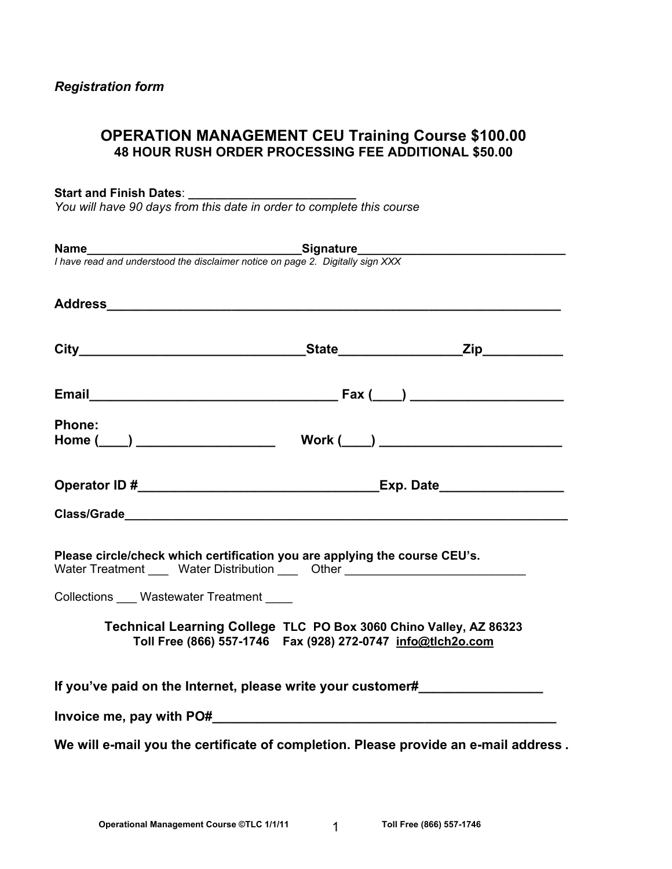# **OPERATION MANAGEMENT CEU Training Course \$100.00 48 HOUR RUSH ORDER PROCESSING FEE ADDITIONAL \$50.00**

### **Start and Finish Dates**: **\_\_\_\_\_\_\_\_\_\_\_\_\_\_\_\_\_\_\_\_\_\_\_\_\_**

*You will have 90 days from this date in order to complete this course* 

|                                                                                                                                                                | <b>Name</b><br>I have read and understood the disclaimer notice on page 2. Digitally sign XXX |  |  |  |  |
|----------------------------------------------------------------------------------------------------------------------------------------------------------------|-----------------------------------------------------------------------------------------------|--|--|--|--|
|                                                                                                                                                                |                                                                                               |  |  |  |  |
|                                                                                                                                                                |                                                                                               |  |  |  |  |
|                                                                                                                                                                |                                                                                               |  |  |  |  |
|                                                                                                                                                                |                                                                                               |  |  |  |  |
|                                                                                                                                                                |                                                                                               |  |  |  |  |
| <b>Phone:</b>                                                                                                                                                  |                                                                                               |  |  |  |  |
|                                                                                                                                                                |                                                                                               |  |  |  |  |
|                                                                                                                                                                |                                                                                               |  |  |  |  |
|                                                                                                                                                                |                                                                                               |  |  |  |  |
|                                                                                                                                                                |                                                                                               |  |  |  |  |
| Please circle/check which certification you are applying the course CEU's.<br>Water Treatment _____ Water Distribution _____ Other ___________________________ |                                                                                               |  |  |  |  |
| Collections ____ Wastewater Treatment _____                                                                                                                    |                                                                                               |  |  |  |  |
| Technical Learning College TLC PO Box 3060 Chino Valley, AZ 86323<br>Toll Free (866) 557-1746  Fax (928) 272-0747  info@tlch2o.com                             |                                                                                               |  |  |  |  |
| If you've paid on the Internet, please write your customer#                                                                                                    |                                                                                               |  |  |  |  |
|                                                                                                                                                                |                                                                                               |  |  |  |  |
| We will e-mail you the certificate of completion. Please provide an e-mail address.                                                                            |                                                                                               |  |  |  |  |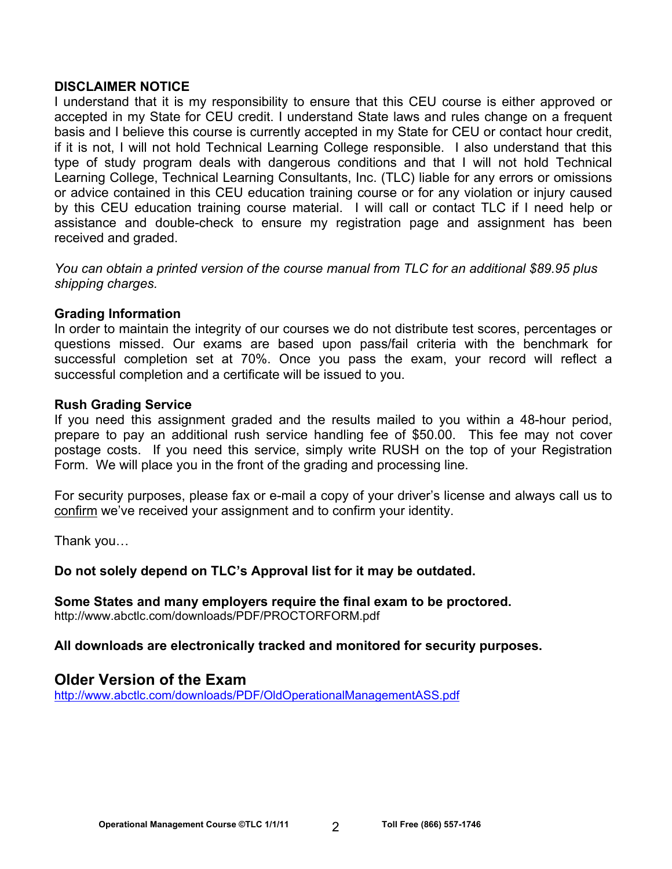## **DISCLAIMER NOTICE**

I understand that it is my responsibility to ensure that this CEU course is either approved or accepted in my State for CEU credit. I understand State laws and rules change on a frequent basis and I believe this course is currently accepted in my State for CEU or contact hour credit, if it is not, I will not hold Technical Learning College responsible. I also understand that this type of study program deals with dangerous conditions and that I will not hold Technical Learning College, Technical Learning Consultants, Inc. (TLC) liable for any errors or omissions or advice contained in this CEU education training course or for any violation or injury caused by this CEU education training course material. I will call or contact TLC if I need help or assistance and double-check to ensure my registration page and assignment has been received and graded.

*You can obtain a printed version of the course manual from TLC for an additional \$89.95 plus shipping charges.* 

## **Grading Information**

In order to maintain the integrity of our courses we do not distribute test scores, percentages or questions missed. Our exams are based upon pass/fail criteria with the benchmark for successful completion set at 70%. Once you pass the exam, your record will reflect a successful completion and a certificate will be issued to you.

### **Rush Grading Service**

If you need this assignment graded and the results mailed to you within a 48-hour period, prepare to pay an additional rush service handling fee of \$50.00. This fee may not cover postage costs. If you need this service, simply write RUSH on the top of your Registration Form. We will place you in the front of the grading and processing line.

For security purposes, please fax or e-mail a copy of your driver's license and always call us to confirm we've received your assignment and to confirm your identity.

Thank you…

## **Do not solely depend on TLC's Approval list for it may be outdated.**

**Some States and many employers require the final exam to be proctored.**  http://www.abctlc.com/downloads/PDF/PROCTORFORM.pdf

### **All downloads are electronically tracked and monitored for security purposes.**

# **Older Version of the Exam**

http://www.abctlc.com/downloads/PDF/OldOperationalManagementASS.pdf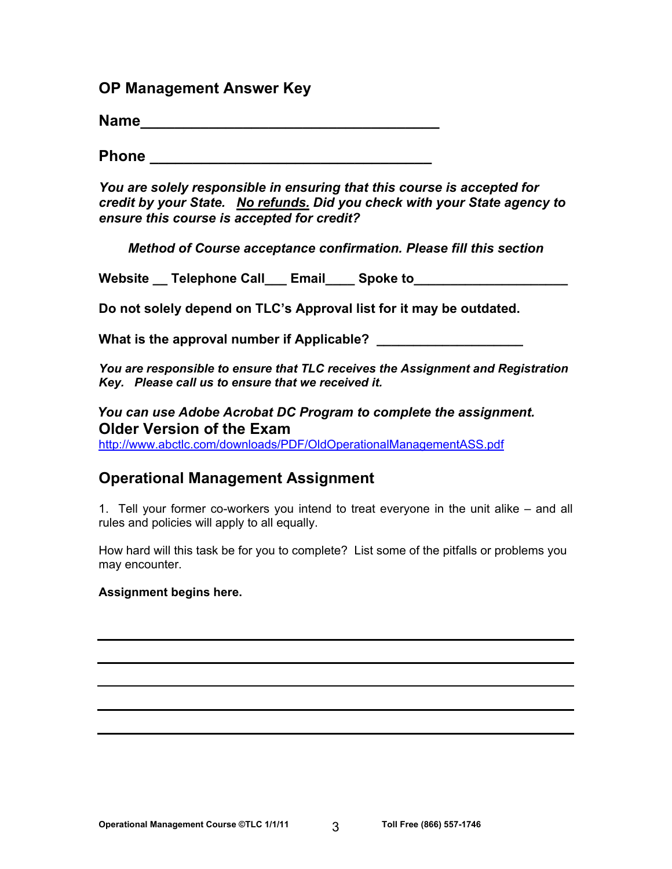**OP Management Answer Key**

**Name\_\_\_\_\_\_\_\_\_\_\_\_\_\_\_\_\_\_\_\_\_\_\_\_\_\_\_\_\_\_\_\_\_\_\_** 

**Phone** *Phone* **<b>***Phone* 

*You are solely responsible in ensuring that this course is accepted for credit by your State. No refunds. Did you check with your State agency to ensure this course is accepted for credit?* 

*Method of Course acceptance confirmation. Please fill this section* 

Website Telephone Call Email Spoke to

**Do not solely depend on TLC's Approval list for it may be outdated.** 

**What is the approval number if Applicable? \_\_\_\_\_\_\_\_\_\_\_\_\_\_\_\_\_\_\_\_** 

*You are responsible to ensure that TLC receives the Assignment and Registration Key. Please call us to ensure that we received it.* 

*You can use Adobe Acrobat DC Program to complete the assignment.*  **Older Version of the Exam** 

http://www.abctlc.com/downloads/PDF/OldOperationalManagementASS.pdf

# **Operational Management Assignment**

1. Tell your former co-workers you intend to treat everyone in the unit alike – and all rules and policies will apply to all equally.

How hard will this task be for you to complete? List some of the pitfalls or problems you may encounter.

## **Assignment begins here.**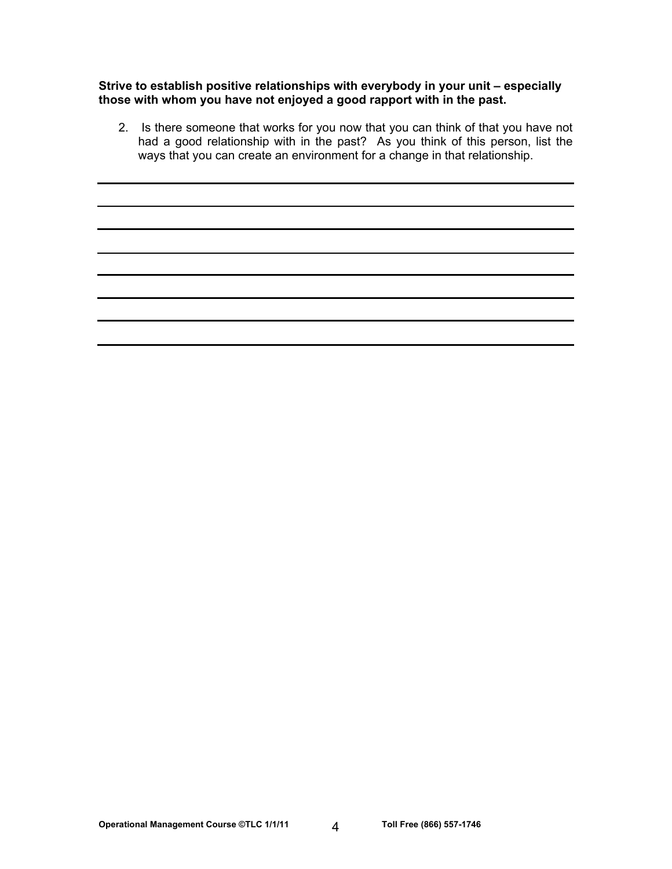**Strive to establish positive relationships with everybody in your unit – especially those with whom you have not enjoyed a good rapport with in the past.** 

2. Is there someone that works for you now that you can think of that you have not had a good relationship with in the past? As you think of this person, list the ways that you can create an environment for a change in that relationship.

Operational Management Course ©TLC 1/1/11 4 Toll Free (866) 557-1746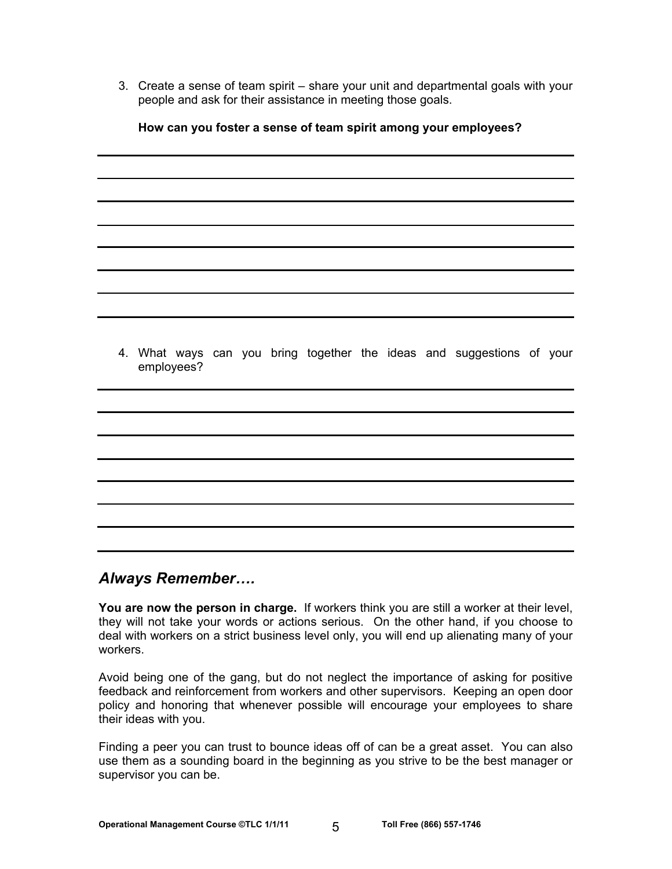3. Create a sense of team spirit – share your unit and departmental goals with your people and ask for their assistance in meeting those goals.

|  | 4. What ways can you bring together the ideas and suggestions of your<br>employees? |  |  |  |  |  |
|--|-------------------------------------------------------------------------------------|--|--|--|--|--|
|  |                                                                                     |  |  |  |  |  |
|  |                                                                                     |  |  |  |  |  |
|  |                                                                                     |  |  |  |  |  |
|  |                                                                                     |  |  |  |  |  |
|  |                                                                                     |  |  |  |  |  |
|  |                                                                                     |  |  |  |  |  |
|  |                                                                                     |  |  |  |  |  |
|  |                                                                                     |  |  |  |  |  |

#### **How can you foster a sense of team spirit among your employees?**

# *Always Remember….*

**You are now the person in charge.** If workers think you are still a worker at their level, they will not take your words or actions serious. On the other hand, if you choose to deal with workers on a strict business level only, you will end up alienating many of your workers.

Avoid being one of the gang, but do not neglect the importance of asking for positive feedback and reinforcement from workers and other supervisors. Keeping an open door policy and honoring that whenever possible will encourage your employees to share their ideas with you.

Finding a peer you can trust to bounce ideas off of can be a great asset. You can also use them as a sounding board in the beginning as you strive to be the best manager or supervisor you can be.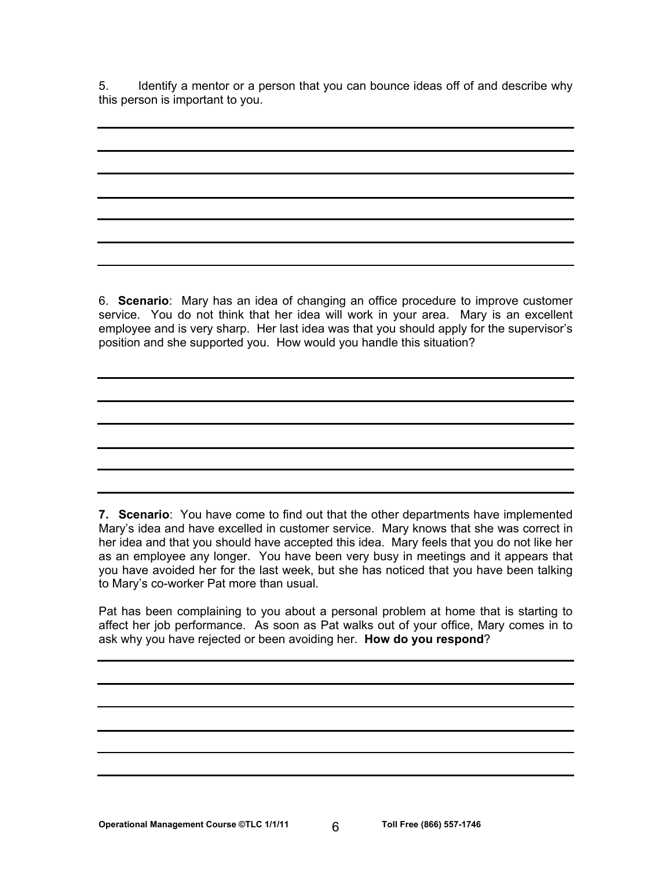5. Identify a mentor or a person that you can bounce ideas off of and describe why this person is important to you.

6. **Scenario**: Mary has an idea of changing an office procedure to improve customer service. You do not think that her idea will work in your area. Mary is an excellent employee and is very sharp. Her last idea was that you should apply for the supervisor's position and she supported you. How would you handle this situation?

**7. Scenario**: You have come to find out that the other departments have implemented Mary's idea and have excelled in customer service. Mary knows that she was correct in her idea and that you should have accepted this idea. Mary feels that you do not like her as an employee any longer. You have been very busy in meetings and it appears that you have avoided her for the last week, but she has noticed that you have been talking to Mary's co-worker Pat more than usual.

Pat has been complaining to you about a personal problem at home that is starting to affect her job performance. As soon as Pat walks out of your office, Mary comes in to ask why you have rejected or been avoiding her. **How do you respond**?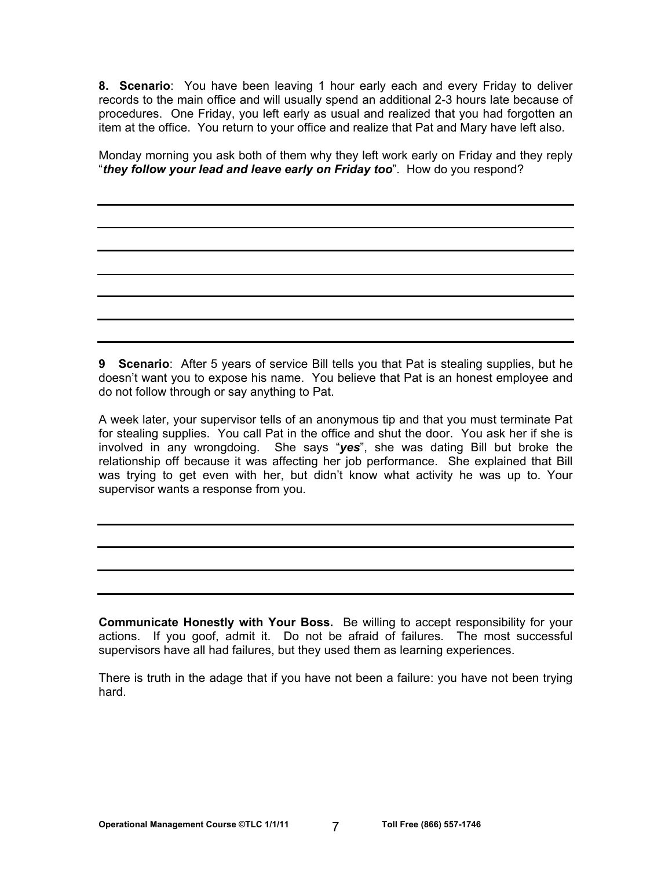**8. Scenario**: You have been leaving 1 hour early each and every Friday to deliver records to the main office and will usually spend an additional 2-3 hours late because of procedures. One Friday, you left early as usual and realized that you had forgotten an item at the office. You return to your office and realize that Pat and Mary have left also.

Monday morning you ask both of them why they left work early on Friday and they reply "*they follow your lead and leave early on Friday too*". How do you respond?

**9 Scenario**: After 5 years of service Bill tells you that Pat is stealing supplies, but he doesn't want you to expose his name. You believe that Pat is an honest employee and do not follow through or say anything to Pat.

A week later, your supervisor tells of an anonymous tip and that you must terminate Pat for stealing supplies. You call Pat in the office and shut the door. You ask her if she is involved in any wrongdoing. She says "*yes*", she was dating Bill but broke the relationship off because it was affecting her job performance. She explained that Bill was trying to get even with her, but didn't know what activity he was up to. Your supervisor wants a response from you.

**Communicate Honestly with Your Boss.** Be willing to accept responsibility for your actions. If you goof, admit it. Do not be afraid of failures. The most successful supervisors have all had failures, but they used them as learning experiences.

There is truth in the adage that if you have not been a failure: you have not been trying hard.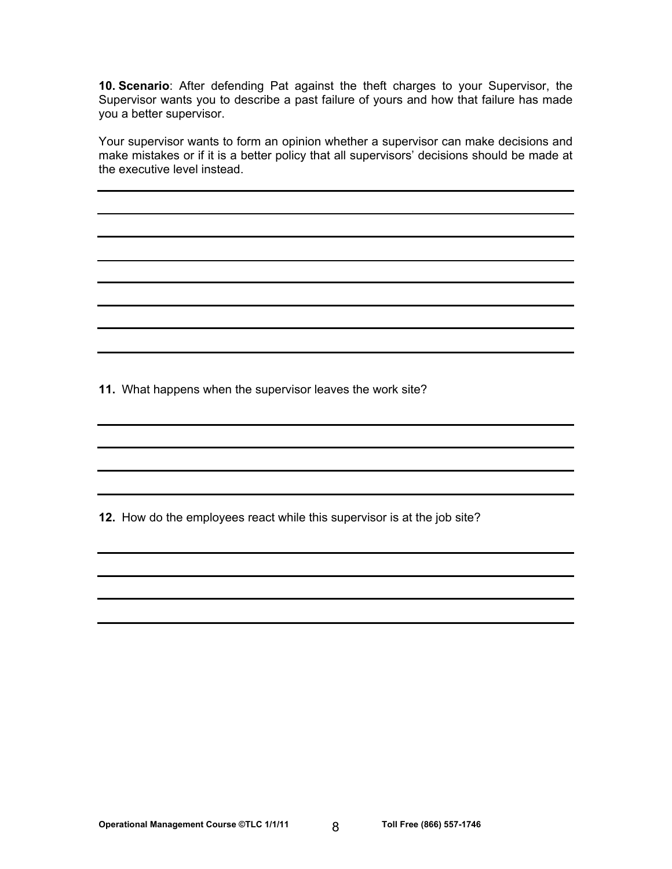**10. Scenario**: After defending Pat against the theft charges to your Supervisor, the Supervisor wants you to describe a past failure of yours and how that failure has made you a better supervisor.

Your supervisor wants to form an opinion whether a supervisor can make decisions and make mistakes or if it is a better policy that all supervisors' decisions should be made at the executive level instead.

**11.** What happens when the supervisor leaves the work site?

**12.** How do the employees react while this supervisor is at the job site?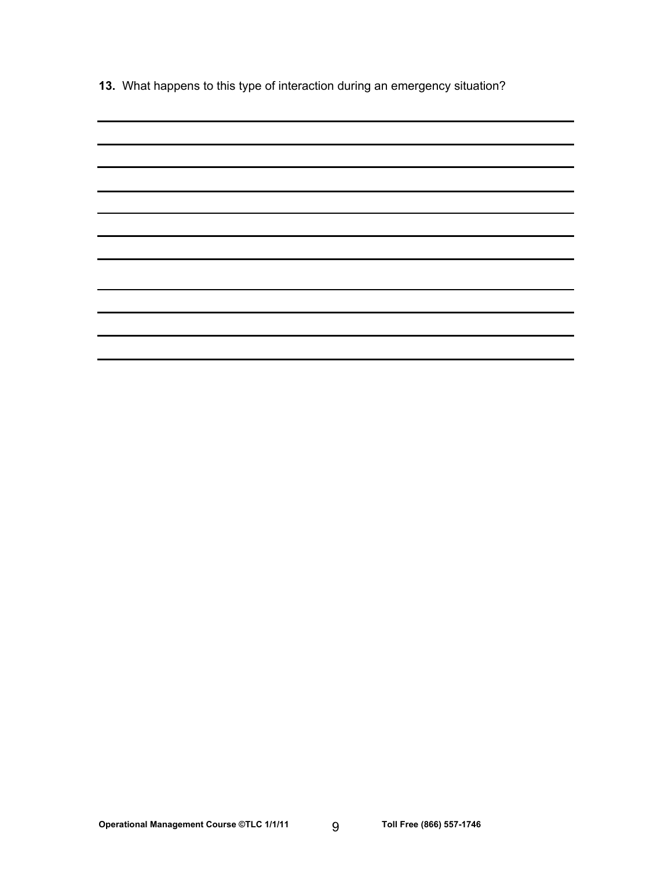**13.** What happens to this type of interaction during an emergency situation?

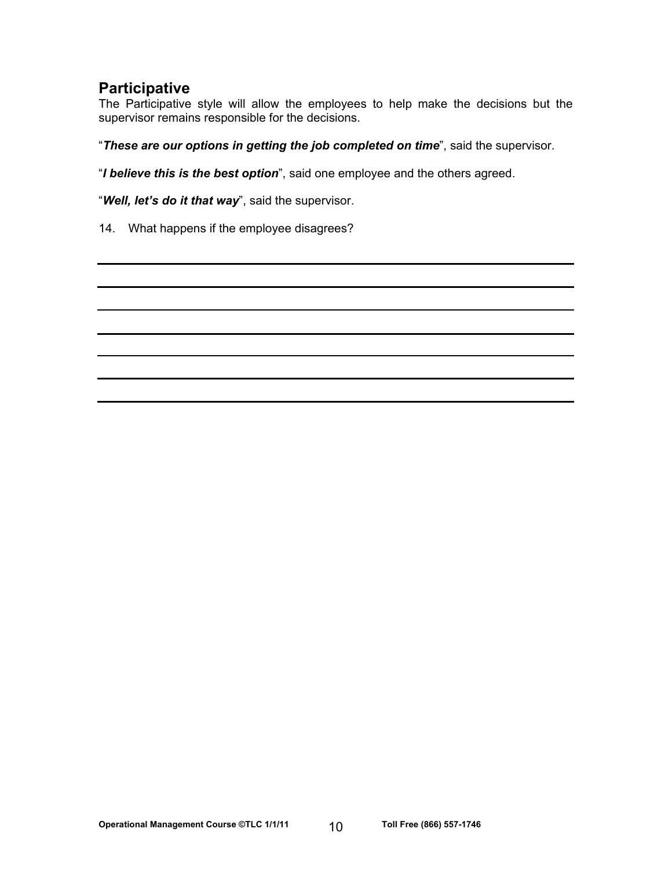# **Participative**

The Participative style will allow the employees to help make the decisions but the supervisor remains responsible for the decisions.

"*These are our options in getting the job completed on time*", said the supervisor.

"*I believe this is the best option*", said one employee and the others agreed.

"*Well, let's do it that way*", said the supervisor.

14. What happens if the employee disagrees?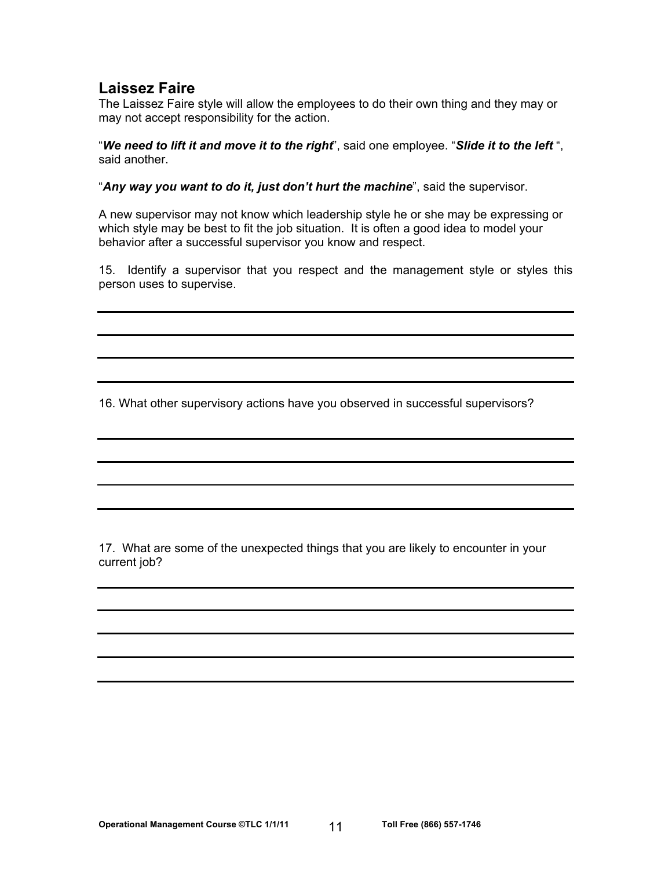# **Laissez Faire**

The Laissez Faire style will allow the employees to do their own thing and they may or may not accept responsibility for the action.

"*We need to lift it and move it to the right*", said one employee. "*Slide it to the left* ", said another.

"*Any way you want to do it, just don't hurt the machine*", said the supervisor.

A new supervisor may not know which leadership style he or she may be expressing or which style may be best to fit the job situation. It is often a good idea to model your behavior after a successful supervisor you know and respect.

15. Identify a supervisor that you respect and the management style or styles this person uses to supervise.

16. What other supervisory actions have you observed in successful supervisors?

17. What are some of the unexpected things that you are likely to encounter in your current job?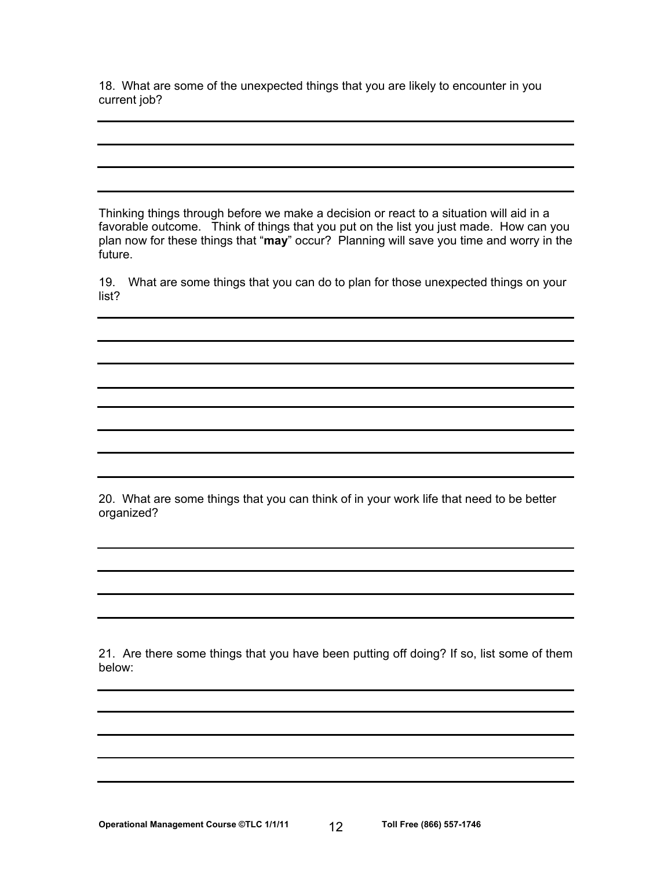18. What are some of the unexpected things that you are likely to encounter in you current job?

Thinking things through before we make a decision or react to a situation will aid in a favorable outcome. Think of things that you put on the list you just made. How can you plan now for these things that "**may**" occur? Planning will save you time and worry in the future.

19. What are some things that you can do to plan for those unexpected things on your list?

20. What are some things that you can think of in your work life that need to be better organized?

21. Are there some things that you have been putting off doing? If so, list some of them below: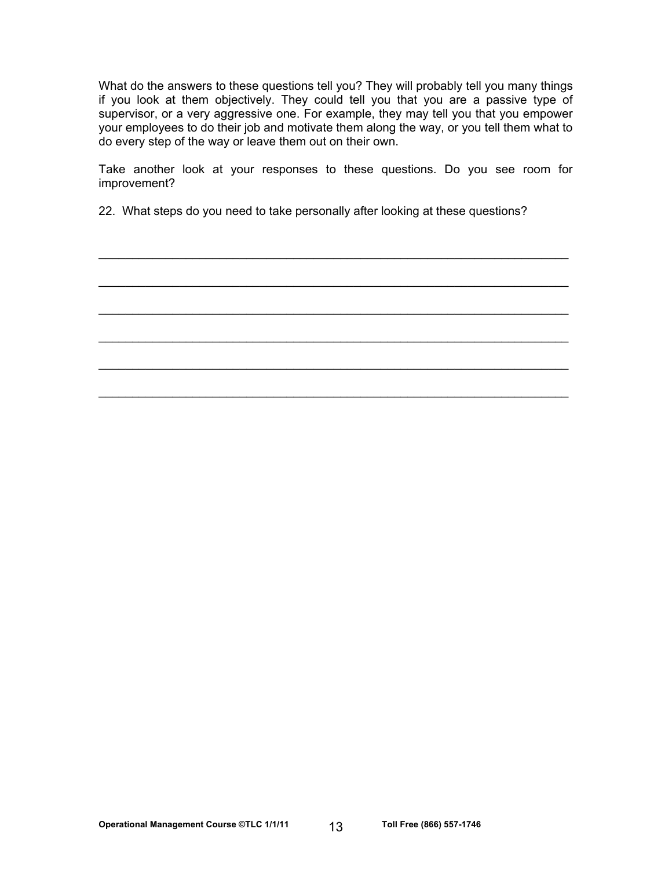What do the answers to these questions tell you? They will probably tell you many things if you look at them objectively. They could tell you that you are a passive type of supervisor, or a very aggressive one. For example, they may tell you that you empower your employees to do their job and motivate them along the way, or you tell them what to do every step of the way or leave them out on their own.

Take another look at your responses to these questions. Do you see room for improvement?

 $\mathcal{L}_\text{max}$  and  $\mathcal{L}_\text{max}$  and  $\mathcal{L}_\text{max}$  and  $\mathcal{L}_\text{max}$  and  $\mathcal{L}_\text{max}$  and  $\mathcal{L}_\text{max}$ 

 $\mathcal{L}_\text{max}$  and  $\mathcal{L}_\text{max}$  and  $\mathcal{L}_\text{max}$  and  $\mathcal{L}_\text{max}$  and  $\mathcal{L}_\text{max}$  and  $\mathcal{L}_\text{max}$ 

 $\mathcal{L}_\text{max}$  and  $\mathcal{L}_\text{max}$  and  $\mathcal{L}_\text{max}$  and  $\mathcal{L}_\text{max}$  and  $\mathcal{L}_\text{max}$  and  $\mathcal{L}_\text{max}$ 

 $\mathcal{L}_\text{max}$  and  $\mathcal{L}_\text{max}$  and  $\mathcal{L}_\text{max}$  and  $\mathcal{L}_\text{max}$  and  $\mathcal{L}_\text{max}$  and  $\mathcal{L}_\text{max}$ 

22. What steps do you need to take personally after looking at these questions?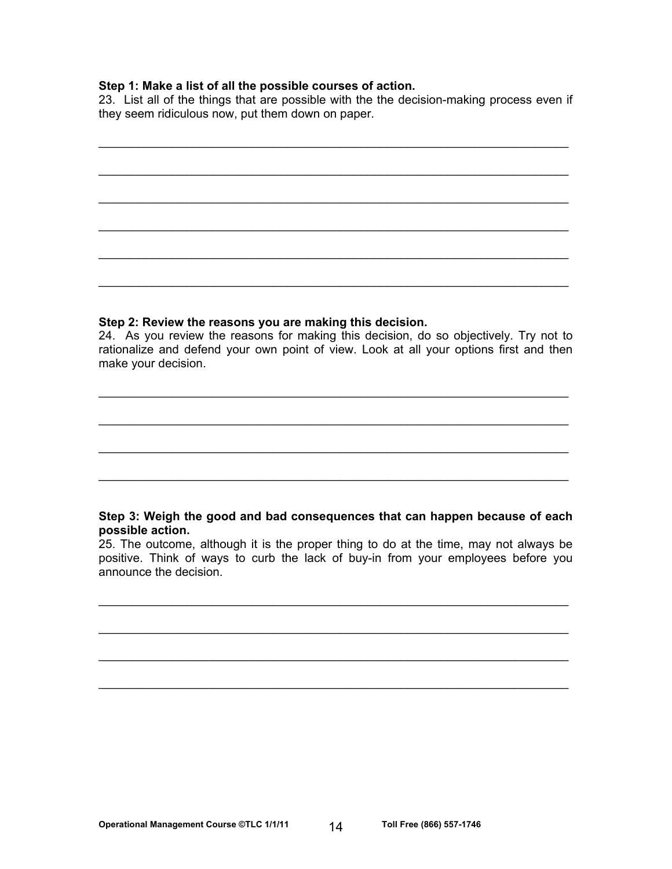#### **Step 1: Make a list of all the possible courses of action.**

23. List all of the things that are possible with the the decision-making process even if they seem ridiculous now, put them down on paper.

 $\mathcal{L}_\text{max}$  and  $\mathcal{L}_\text{max}$  and  $\mathcal{L}_\text{max}$  and  $\mathcal{L}_\text{max}$  and  $\mathcal{L}_\text{max}$  and  $\mathcal{L}_\text{max}$ 

 $\mathcal{L}_\text{max}$  and  $\mathcal{L}_\text{max}$  and  $\mathcal{L}_\text{max}$  and  $\mathcal{L}_\text{max}$  and  $\mathcal{L}_\text{max}$  and  $\mathcal{L}_\text{max}$ 

 $\mathcal{L}_\text{max}$  and  $\mathcal{L}_\text{max}$  and  $\mathcal{L}_\text{max}$  and  $\mathcal{L}_\text{max}$  and  $\mathcal{L}_\text{max}$  and  $\mathcal{L}_\text{max}$ 

 $\mathcal{L}_\text{max}$  and  $\mathcal{L}_\text{max}$  and  $\mathcal{L}_\text{max}$  and  $\mathcal{L}_\text{max}$  and  $\mathcal{L}_\text{max}$  and  $\mathcal{L}_\text{max}$ 

 $\mathcal{L}_\text{max}$  and  $\mathcal{L}_\text{max}$  and  $\mathcal{L}_\text{max}$  and  $\mathcal{L}_\text{max}$  and  $\mathcal{L}_\text{max}$  and  $\mathcal{L}_\text{max}$ 

### **Step 2: Review the reasons you are making this decision.**

24. As you review the reasons for making this decision, do so objectively. Try not to rationalize and defend your own point of view. Look at all your options first and then make your decision.

 $\mathcal{L}_\text{max}$  and  $\mathcal{L}_\text{max}$  and  $\mathcal{L}_\text{max}$  and  $\mathcal{L}_\text{max}$  and  $\mathcal{L}_\text{max}$  and  $\mathcal{L}_\text{max}$ 

 $\mathcal{L}_\text{max}$  and  $\mathcal{L}_\text{max}$  and  $\mathcal{L}_\text{max}$  and  $\mathcal{L}_\text{max}$  and  $\mathcal{L}_\text{max}$  and  $\mathcal{L}_\text{max}$ 

 $\mathcal{L}_\text{max}$  and  $\mathcal{L}_\text{max}$  and  $\mathcal{L}_\text{max}$  and  $\mathcal{L}_\text{max}$  and  $\mathcal{L}_\text{max}$  and  $\mathcal{L}_\text{max}$ 

### **Step 3: Weigh the good and bad consequences that can happen because of each possible action.**

25. The outcome, although it is the proper thing to do at the time, may not always be positive. Think of ways to curb the lack of buy-in from your employees before you announce the decision.

 $\mathcal{L}_\text{max}$  and  $\mathcal{L}_\text{max}$  and  $\mathcal{L}_\text{max}$  and  $\mathcal{L}_\text{max}$  and  $\mathcal{L}_\text{max}$  and  $\mathcal{L}_\text{max}$ 

 $\mathcal{L}_\text{max}$  and  $\mathcal{L}_\text{max}$  and  $\mathcal{L}_\text{max}$  and  $\mathcal{L}_\text{max}$  and  $\mathcal{L}_\text{max}$  and  $\mathcal{L}_\text{max}$ 

 $\mathcal{L}_\text{max}$  and  $\mathcal{L}_\text{max}$  and  $\mathcal{L}_\text{max}$  and  $\mathcal{L}_\text{max}$  and  $\mathcal{L}_\text{max}$  and  $\mathcal{L}_\text{max}$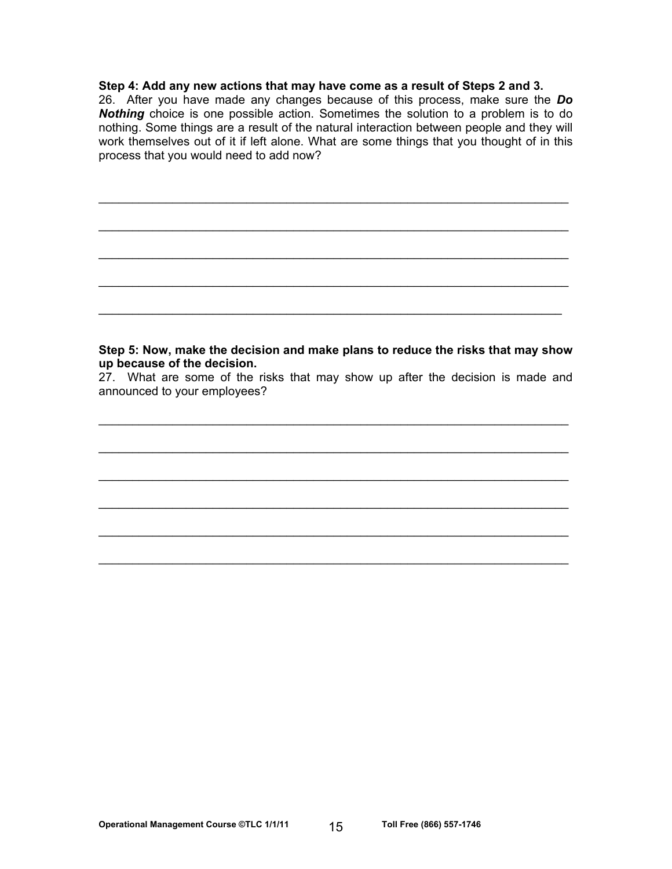#### **Step 4: Add any new actions that may have come as a result of Steps 2 and 3.**

26. After you have made any changes because of this process, make sure the *Do Nothing* choice is one possible action. Sometimes the solution to a problem is to do nothing. Some things are a result of the natural interaction between people and they will work themselves out of it if left alone. What are some things that you thought of in this process that you would need to add now?

 $\mathcal{L}_\text{max}$  and  $\mathcal{L}_\text{max}$  and  $\mathcal{L}_\text{max}$  and  $\mathcal{L}_\text{max}$  and  $\mathcal{L}_\text{max}$  and  $\mathcal{L}_\text{max}$ 

 $\mathcal{L}_\text{max}$  and  $\mathcal{L}_\text{max}$  and  $\mathcal{L}_\text{max}$  and  $\mathcal{L}_\text{max}$  and  $\mathcal{L}_\text{max}$  and  $\mathcal{L}_\text{max}$ 

 $\mathcal{L}_\text{max}$  and  $\mathcal{L}_\text{max}$  and  $\mathcal{L}_\text{max}$  and  $\mathcal{L}_\text{max}$  and  $\mathcal{L}_\text{max}$  and  $\mathcal{L}_\text{max}$ 

### **Step 5: Now, make the decision and make plans to reduce the risks that may show up because of the decision.**

27. What are some of the risks that may show up after the decision is made and announced to your employees?

 $\mathcal{L}_\text{max}$  and  $\mathcal{L}_\text{max}$  and  $\mathcal{L}_\text{max}$  and  $\mathcal{L}_\text{max}$  and  $\mathcal{L}_\text{max}$  and  $\mathcal{L}_\text{max}$ 

 $\mathcal{L}_\text{max}$  and  $\mathcal{L}_\text{max}$  and  $\mathcal{L}_\text{max}$  and  $\mathcal{L}_\text{max}$  and  $\mathcal{L}_\text{max}$  and  $\mathcal{L}_\text{max}$ 

 $\mathcal{L}_\text{max}$  and  $\mathcal{L}_\text{max}$  and  $\mathcal{L}_\text{max}$  and  $\mathcal{L}_\text{max}$  and  $\mathcal{L}_\text{max}$  and  $\mathcal{L}_\text{max}$ 

 $\mathcal{L}_\text{max}$  and  $\mathcal{L}_\text{max}$  and  $\mathcal{L}_\text{max}$  and  $\mathcal{L}_\text{max}$  and  $\mathcal{L}_\text{max}$  and  $\mathcal{L}_\text{max}$ 

 $\mathcal{L}_\text{max}$  and  $\mathcal{L}_\text{max}$  and  $\mathcal{L}_\text{max}$  and  $\mathcal{L}_\text{max}$  and  $\mathcal{L}_\text{max}$  and  $\mathcal{L}_\text{max}$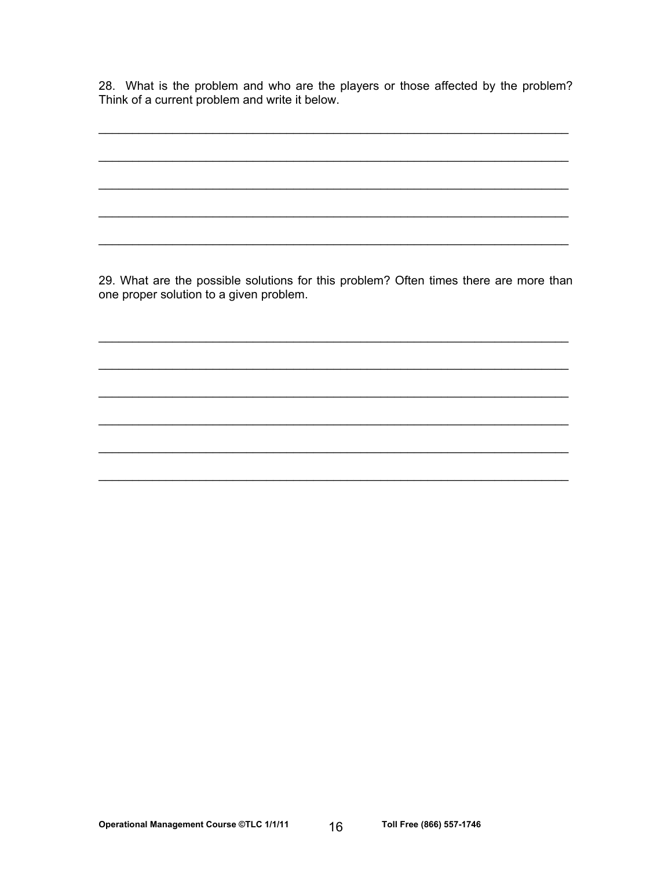28. What is the problem and who are the players or those affected by the problem? Think of a current problem and write it below.

29. What are the possible solutions for this problem? Often times there are more than one proper solution to a given problem.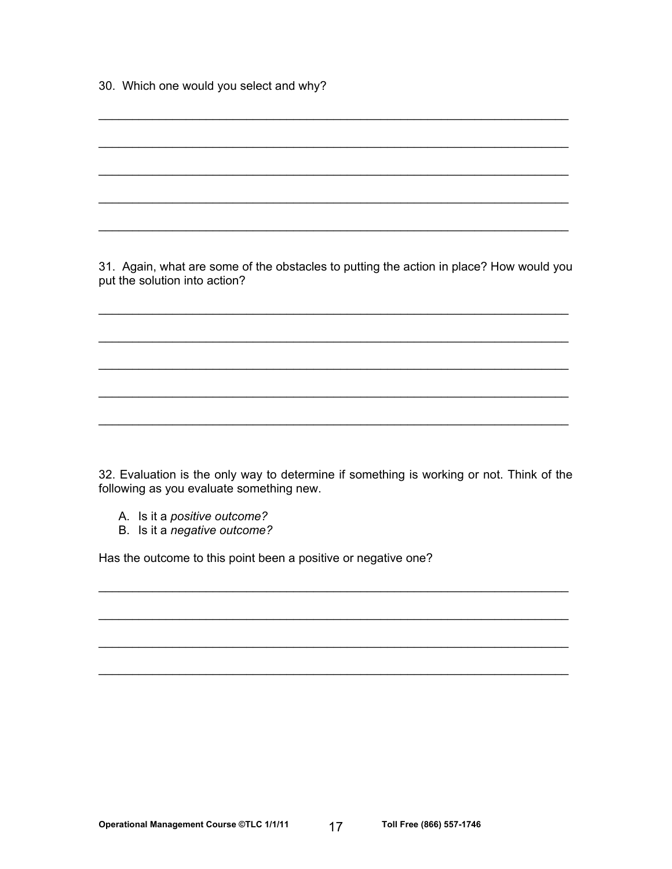30. Which one would you select and why?

31. Again, what are some of the obstacles to putting the action in place? How would you put the solution into action?

32. Evaluation is the only way to determine if something is working or not. Think of the following as you evaluate something new.

- A. Is it a positive outcome?
- B. Is it a negative outcome?

Has the outcome to this point been a positive or negative one?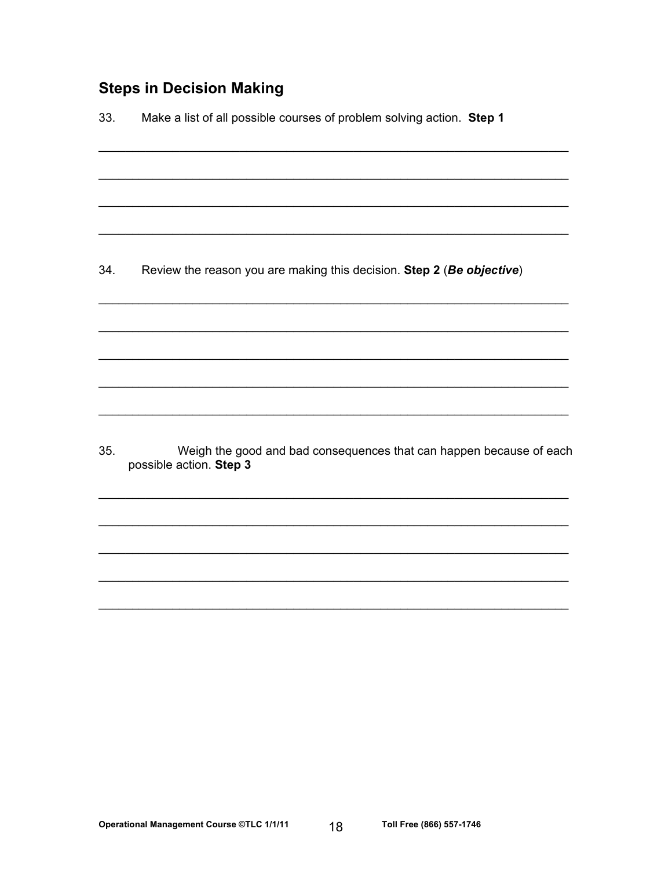# **Steps in Decision Making**

Make a list of all possible courses of problem solving action. Step 1 33. 34. Review the reason you are making this decision. Step 2 (Be objective)

35. Weigh the good and bad consequences that can happen because of each possible action. Step 3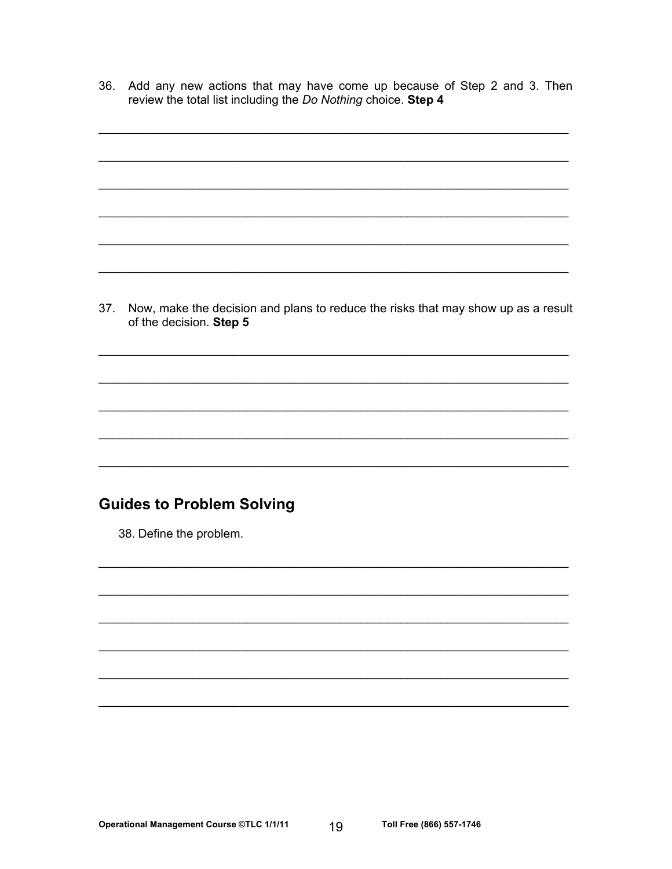36. Add any new actions that may have come up because of Step 2 and 3. Then review the total list including the Do Nothing choice. Step 4

37. Now, make the decision and plans to reduce the risks that may show up as a result of the decision. Step 5

# **Guides to Problem Solving**

38. Define the problem.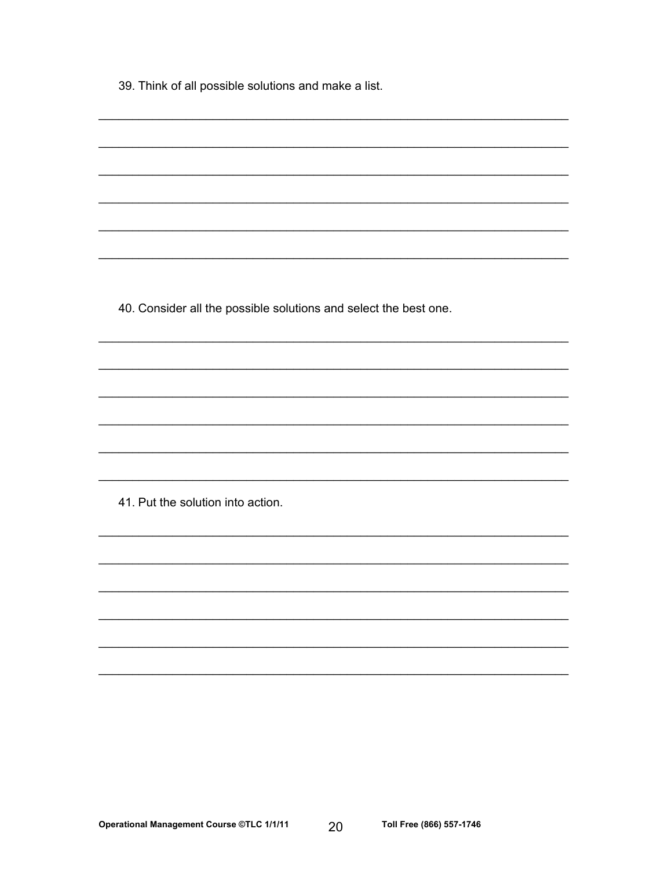39. Think of all possible solutions and make a list.

40. Consider all the possible solutions and select the best one.

41. Put the solution into action.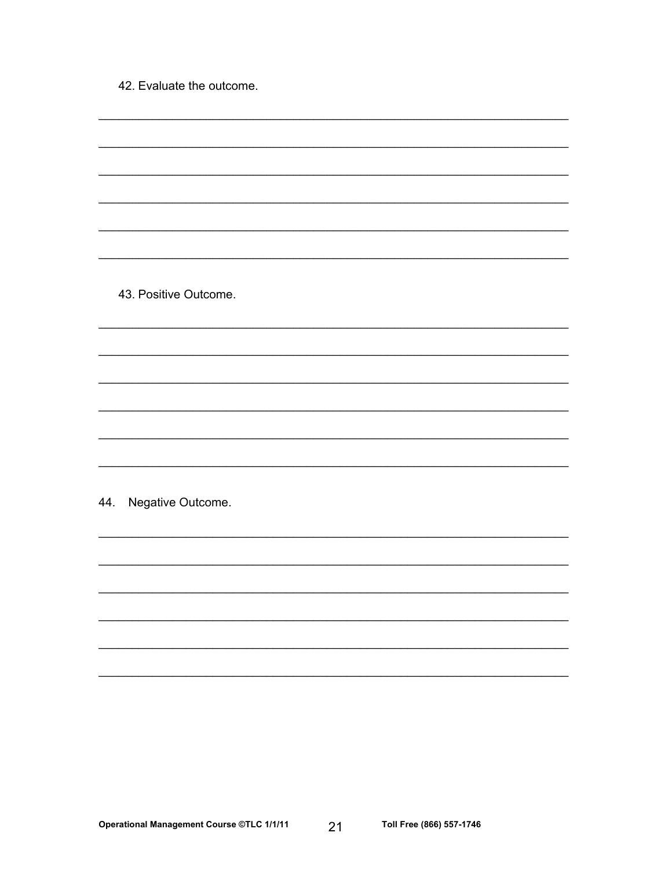42. Evaluate the outcome.

43. Positive Outcome.

44. Negative Outcome.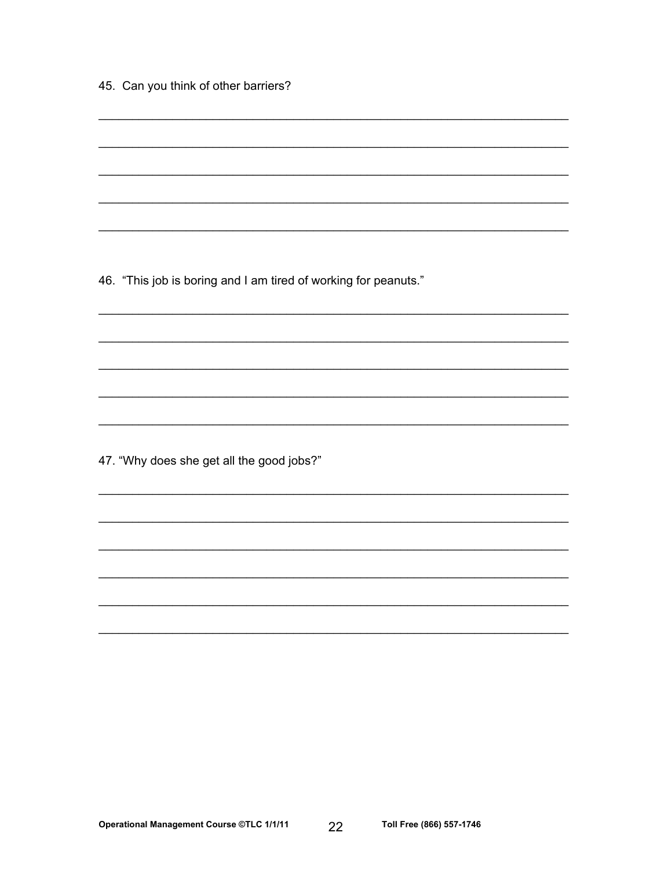|  |  |  |  |  |  | 45. Can you think of other barriers? |
|--|--|--|--|--|--|--------------------------------------|
|--|--|--|--|--|--|--------------------------------------|

46. "This job is boring and I am tired of working for peanuts."

47. "Why does she get all the good jobs?"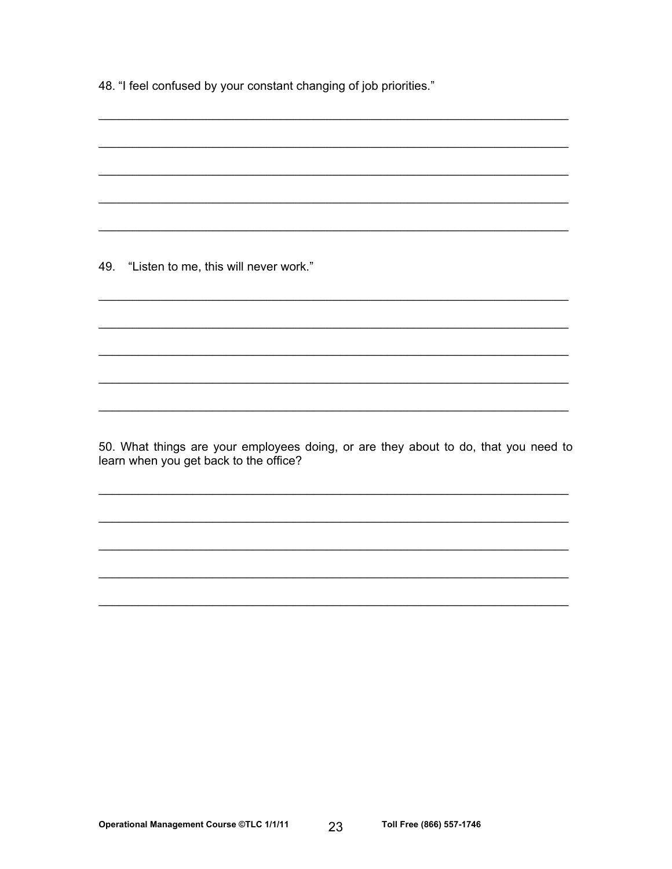48. "I feel confused by your constant changing of job priorities."

49. "Listen to me, this will never work."

50. What things are your employees doing, or are they about to do, that you need to learn when you get back to the office?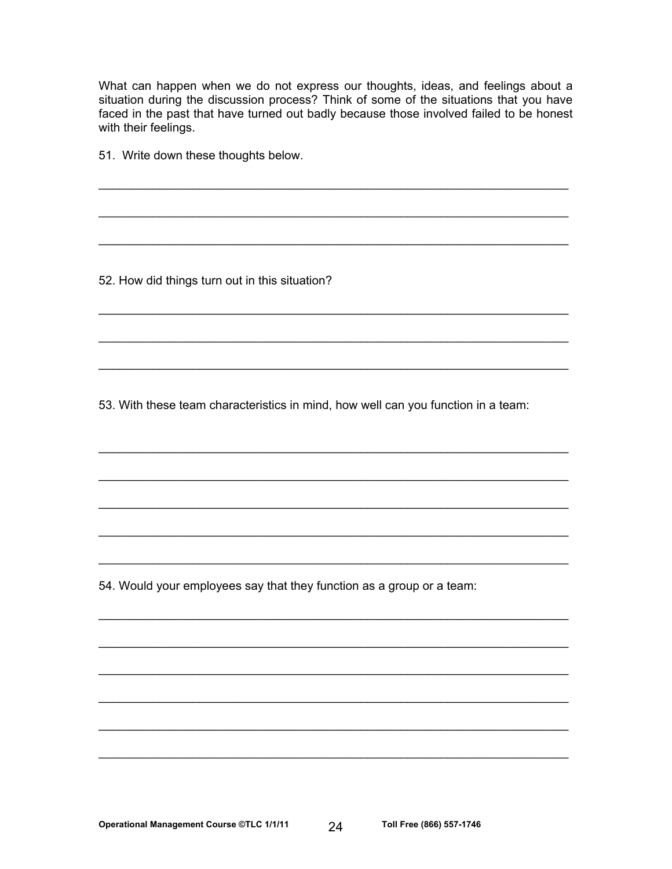What can happen when we do not express our thoughts, ideas, and feelings about a situation during the discussion process? Think of some of the situations that you have faced in the past that have turned out badly because those involved failed to be honest with their feelings.

51. Write down these thoughts below.

52. How did things turn out in this situation?

53. With these team characteristics in mind, how well can you function in a team:

54. Would your employees say that they function as a group or a team: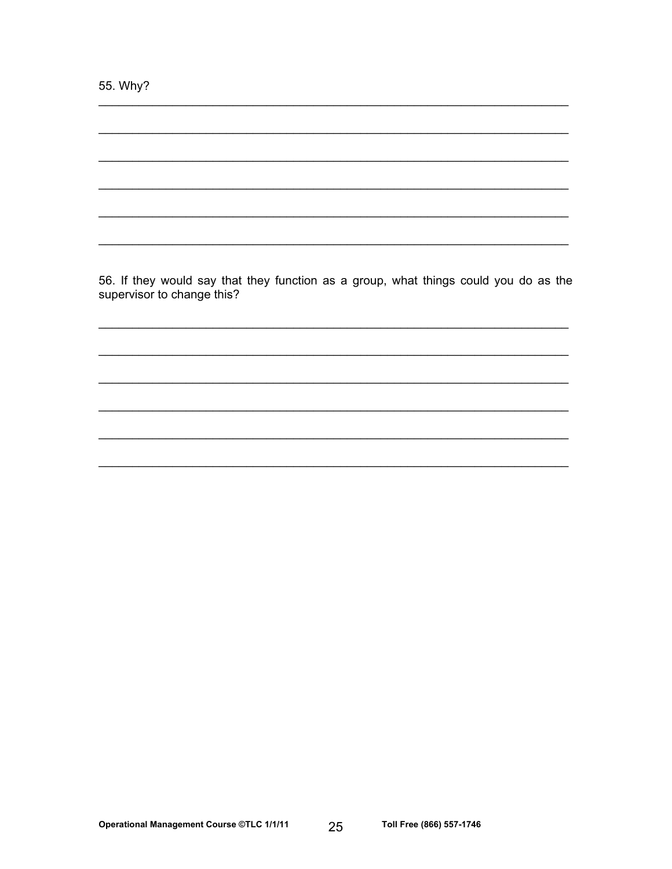55. Why?

56. If they would say that they function as a group, what things could you do as the supervisor to change this?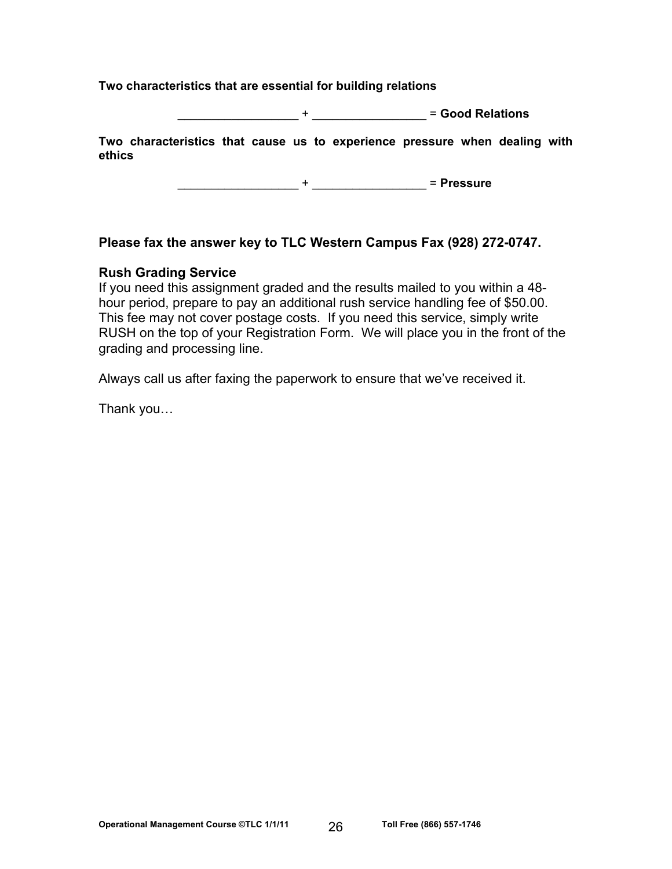### **Two characteristics that are essential for building relations**

\_\_\_\_\_\_\_\_\_\_\_\_\_\_\_\_\_\_ + \_\_\_\_\_\_\_\_\_\_\_\_\_\_\_\_\_ = **Good Relations**

**Two characteristics that cause us to experience pressure when dealing with ethics** 

\_\_\_\_\_\_\_\_\_\_\_\_\_\_\_\_\_\_ + \_\_\_\_\_\_\_\_\_\_\_\_\_\_\_\_\_ = **Pressure**

## **Please fax the answer key to TLC Western Campus Fax (928) 272-0747.**

### **Rush Grading Service**

If you need this assignment graded and the results mailed to you within a 48 hour period, prepare to pay an additional rush service handling fee of \$50.00. This fee may not cover postage costs. If you need this service, simply write RUSH on the top of your Registration Form. We will place you in the front of the grading and processing line.

Always call us after faxing the paperwork to ensure that we've received it.

Thank you…